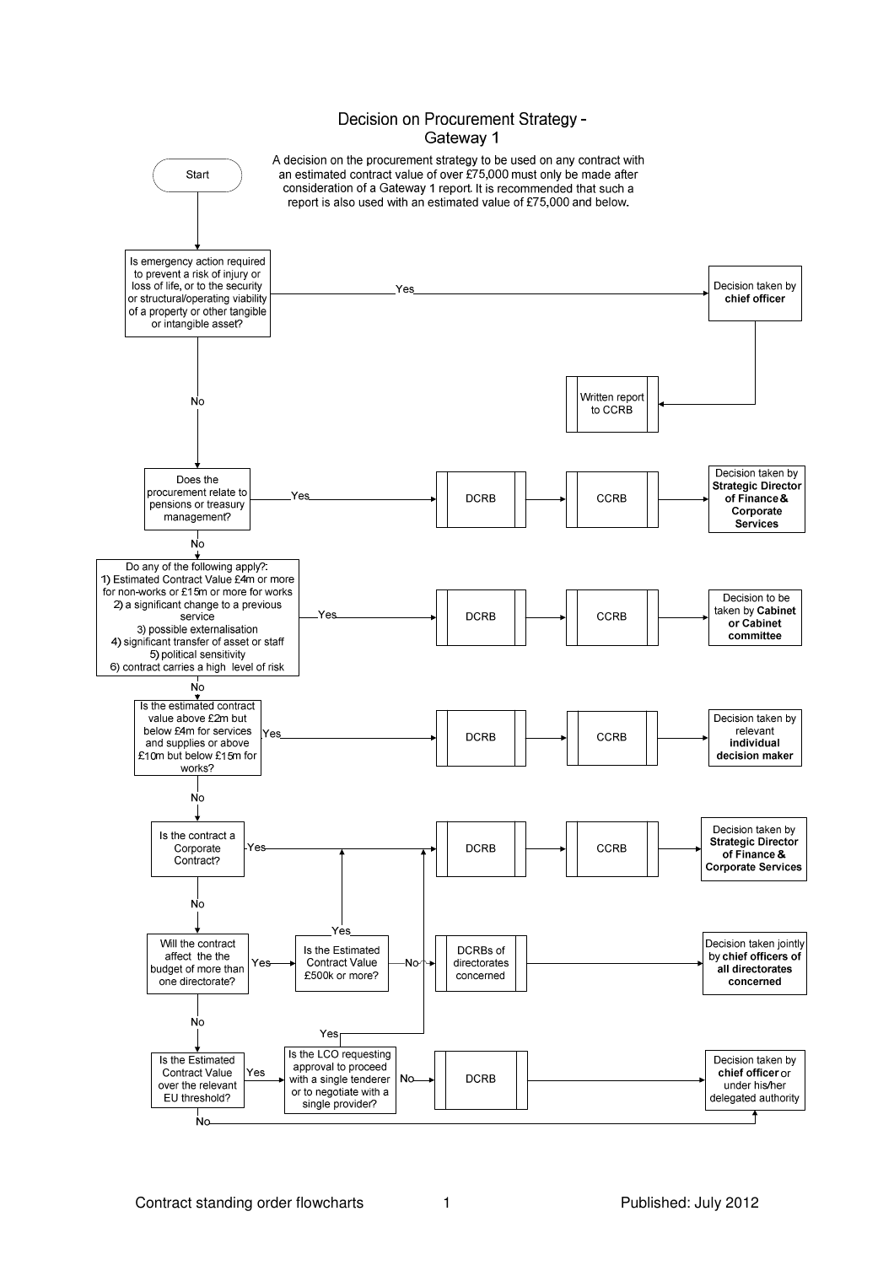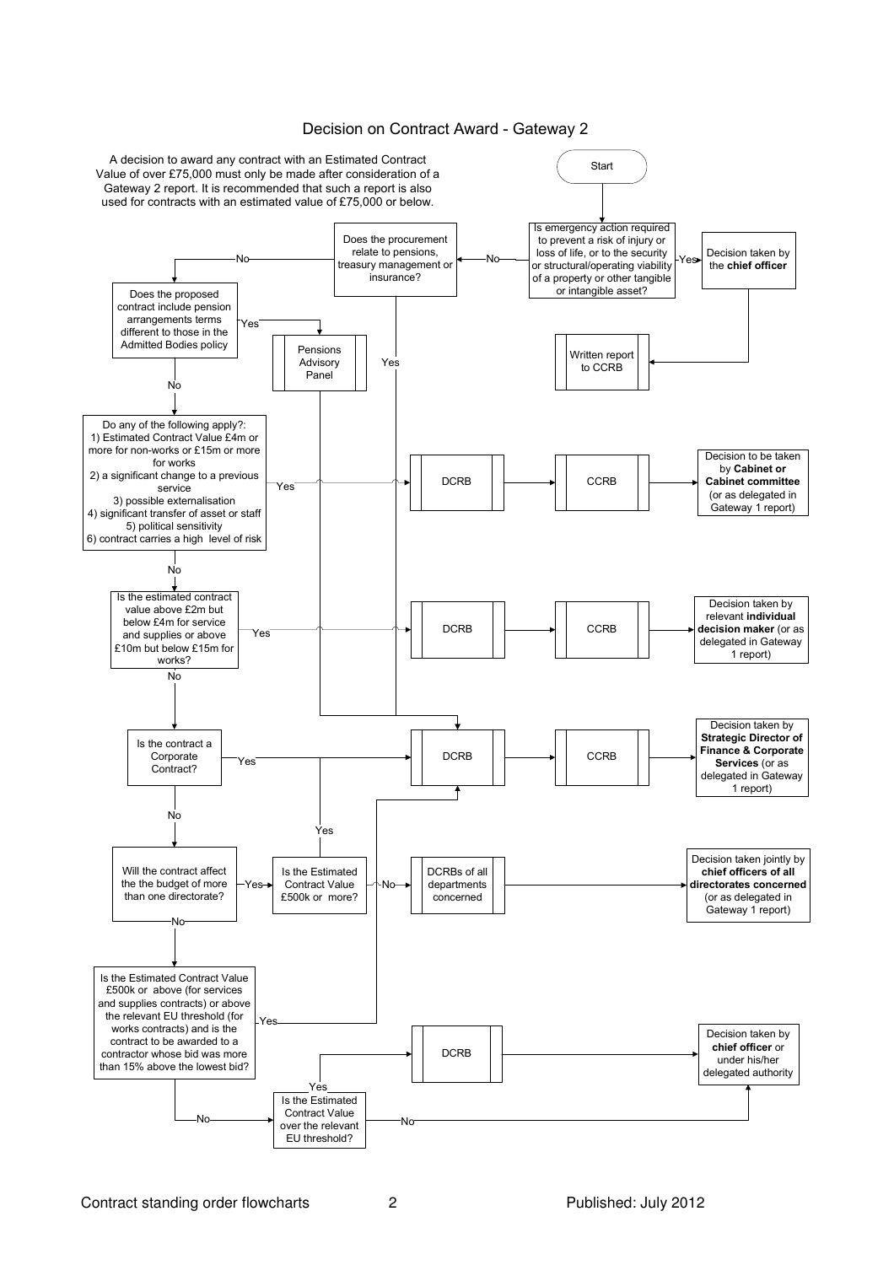

## Decision on Contract Award - Gateway 2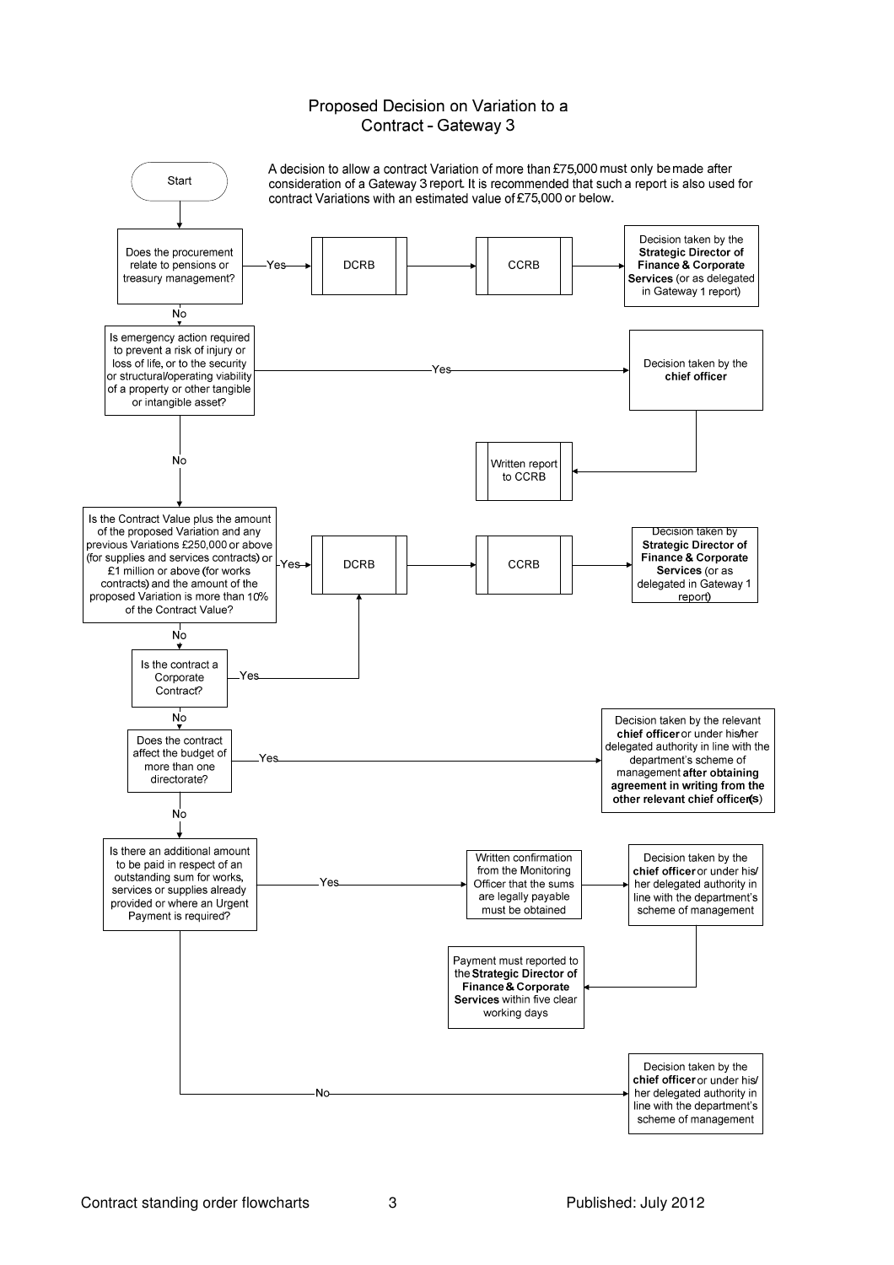